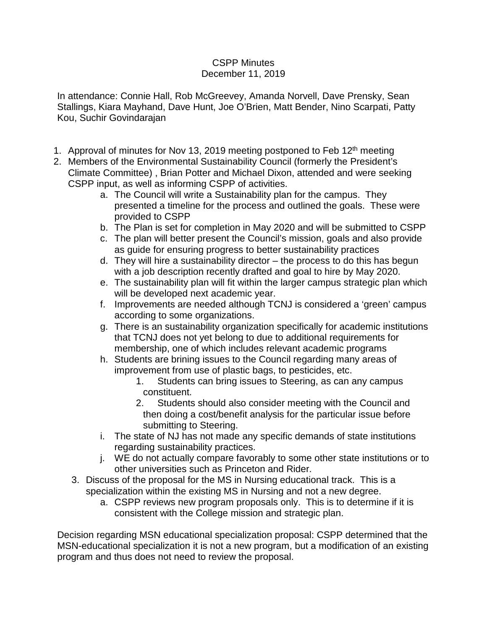## CSPP Minutes December 11, 2019

In attendance: Connie Hall, Rob McGreevey, Amanda Norvell, Dave Prensky, Sean Stallings, Kiara Mayhand, Dave Hunt, Joe O'Brien, Matt Bender, Nino Scarpati, Patty Kou, Suchir Govindarajan

- 1. Approval of minutes for Nov 13, 2019 meeting postponed to Feb 12<sup>th</sup> meeting
- 2. Members of the Environmental Sustainability Council (formerly the President's Climate Committee) , Brian Potter and Michael Dixon, attended and were seeking CSPP input, as well as informing CSPP of activities.
	- a. The Council will write a Sustainability plan for the campus. They presented a timeline for the process and outlined the goals. These were provided to CSPP
	- b. The Plan is set for completion in May 2020 and will be submitted to CSPP
	- c. The plan will better present the Council's mission, goals and also provide as guide for ensuring progress to better sustainability practices
	- d. They will hire a sustainability director the process to do this has begun with a job description recently drafted and goal to hire by May 2020.
	- e. The sustainability plan will fit within the larger campus strategic plan which will be developed next academic year.
	- f. Improvements are needed although TCNJ is considered a 'green' campus according to some organizations.
	- g. There is an sustainability organization specifically for academic institutions that TCNJ does not yet belong to due to additional requirements for membership, one of which includes relevant academic programs
	- h. Students are brining issues to the Council regarding many areas of improvement from use of plastic bags, to pesticides, etc.
		- 1. Students can bring issues to Steering, as can any campus constituent.
		- 2. Students should also consider meeting with the Council and then doing a cost/benefit analysis for the particular issue before submitting to Steering.
	- i. The state of NJ has not made any specific demands of state institutions regarding sustainability practices.
	- j. WE do not actually compare favorably to some other state institutions or to other universities such as Princeton and Rider.
	- 3. Discuss of the proposal for the MS in Nursing educational track. This is a specialization within the existing MS in Nursing and not a new degree.
		- a. CSPP reviews new program proposals only. This is to determine if it is consistent with the College mission and strategic plan.

Decision regarding MSN educational specialization proposal: CSPP determined that the MSN-educational specialization it is not a new program, but a modification of an existing program and thus does not need to review the proposal.